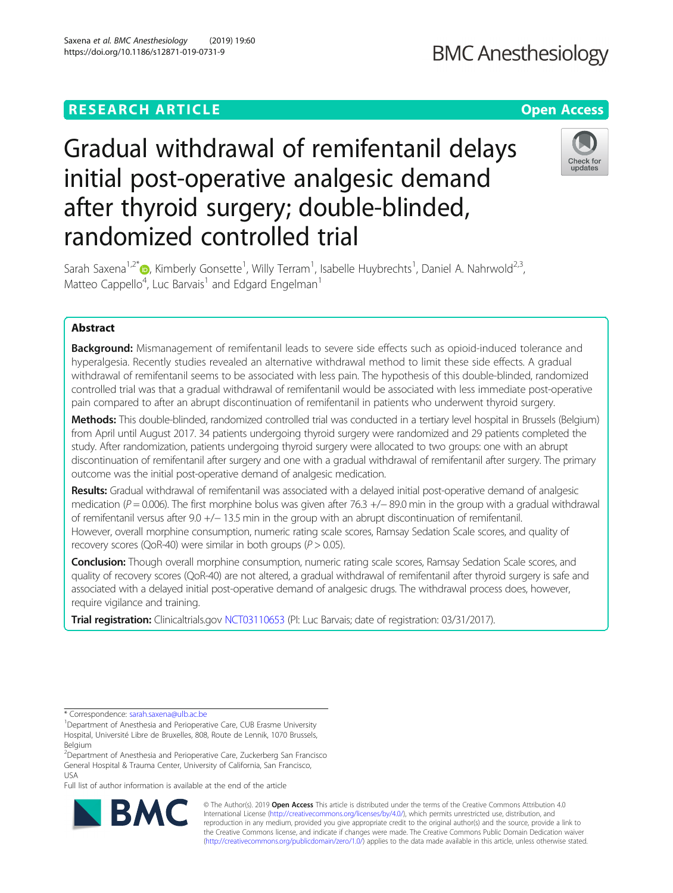# Saxena et al. BMC Anesthesiology (2019) 19:60 **BMC Anesthesiology** https://doi.org/10.1186/s12871-019-0731-9

# Gradual withdrawal of remifentanil delays initial post-operative analgesic demand after thyroid surgery; double-blinded, randomized controlled trial



Sarah Saxena<sup>1,2\*</sup> (@, Kimberly Gonsette<sup>1</sup>, Willy Terram<sup>1</sup>, Isabelle Huybrechts<sup>1</sup>, Daniel A. Nahrwold<sup>2,3</sup>, Matteo Cappello<sup>4</sup>, Luc Barvais<sup>1</sup> and Edgard Engelman<sup>1</sup>

# Abstract

**Background:** Mismanagement of remifentanil leads to severe side effects such as opioid-induced tolerance and hyperalgesia. Recently studies revealed an alternative withdrawal method to limit these side effects. A gradual withdrawal of remifentanil seems to be associated with less pain. The hypothesis of this double-blinded, randomized controlled trial was that a gradual withdrawal of remifentanil would be associated with less immediate post-operative pain compared to after an abrupt discontinuation of remifentanil in patients who underwent thyroid surgery.

Methods: This double-blinded, randomized controlled trial was conducted in a tertiary level hospital in Brussels (Belgium) from April until August 2017. 34 patients undergoing thyroid surgery were randomized and 29 patients completed the study. After randomization, patients undergoing thyroid surgery were allocated to two groups: one with an abrupt discontinuation of remifentanil after surgery and one with a gradual withdrawal of remifentanil after surgery. The primary outcome was the initial post-operative demand of analgesic medication.

Results: Gradual withdrawal of remifentanil was associated with a delayed initial post-operative demand of analgesic medication (P = 0.006). The first morphine bolus was given after 76.3 +/− 89.0 min in the group with a gradual withdrawal of remifentanil versus after 9.0 +/− 13.5 min in the group with an abrupt discontinuation of remifentanil. However, overall morphine consumption, numeric rating scale scores, Ramsay Sedation Scale scores, and quality of recovery scores (QoR-40) were similar in both groups ( $P > 0.05$ ).

Conclusion: Though overall morphine consumption, numeric rating scale scores, Ramsay Sedation Scale scores, and quality of recovery scores (QoR-40) are not altered, a gradual withdrawal of remifentanil after thyroid surgery is safe and associated with a delayed initial post-operative demand of analgesic drugs. The withdrawal process does, however, require vigilance and training.

Trial registration: Clinicaltrials.gov [NCT03110653](https://clinicaltrials.gov/ct2/show/NCT03110653?term=NCT03110653&rank=1) (PI: Luc Barvais; date of registration: 03/31/2017).

Full list of author information is available at the end of the article



© The Author(s). 2019 **Open Access** This article is distributed under the terms of the Creative Commons Attribution 4.0 International License [\(http://creativecommons.org/licenses/by/4.0/](http://creativecommons.org/licenses/by/4.0/)), which permits unrestricted use, distribution, and reproduction in any medium, provided you give appropriate credit to the original author(s) and the source, provide a link to the Creative Commons license, and indicate if changes were made. The Creative Commons Public Domain Dedication waiver [\(http://creativecommons.org/publicdomain/zero/1.0/](http://creativecommons.org/publicdomain/zero/1.0/)) applies to the data made available in this article, unless otherwise stated.

<sup>\*</sup> Correspondence: [sarah.saxena@ulb.ac.be](mailto:sarah.saxena@ulb.ac.be) <sup>1</sup>

<sup>&</sup>lt;sup>1</sup>Department of Anesthesia and Perioperative Care, CUB Erasme University Hospital, Université Libre de Bruxelles, 808, Route de Lennik, 1070 Brussels, Belgium

<sup>2</sup> Department of Anesthesia and Perioperative Care, Zuckerberg San Francisco General Hospital & Trauma Center, University of California, San Francisco, USA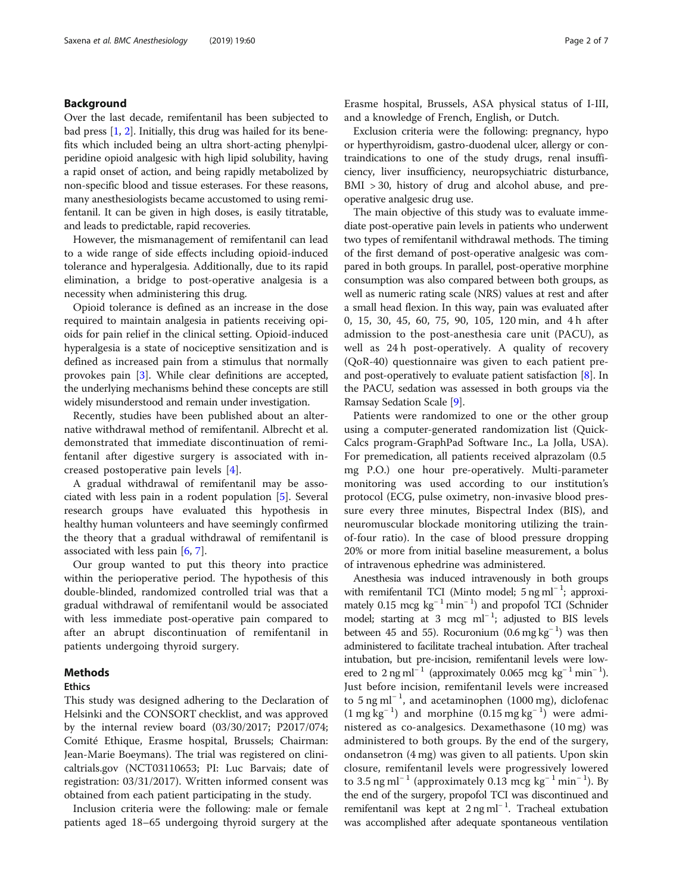# Background

Over the last decade, remifentanil has been subjected to bad press [\[1](#page-6-0), [2](#page-6-0)]. Initially, this drug was hailed for its benefits which included being an ultra short-acting phenylpiperidine opioid analgesic with high lipid solubility, having a rapid onset of action, and being rapidly metabolized by non-specific blood and tissue esterases. For these reasons, many anesthesiologists became accustomed to using remifentanil. It can be given in high doses, is easily titratable, and leads to predictable, rapid recoveries.

However, the mismanagement of remifentanil can lead to a wide range of side effects including opioid-induced tolerance and hyperalgesia. Additionally, due to its rapid elimination, a bridge to post-operative analgesia is a necessity when administering this drug.

Opioid tolerance is defined as an increase in the dose required to maintain analgesia in patients receiving opioids for pain relief in the clinical setting. Opioid-induced hyperalgesia is a state of nociceptive sensitization and is defined as increased pain from a stimulus that normally provokes pain [\[3](#page-6-0)]. While clear definitions are accepted, the underlying mechanisms behind these concepts are still widely misunderstood and remain under investigation.

Recently, studies have been published about an alternative withdrawal method of remifentanil. Albrecht et al. demonstrated that immediate discontinuation of remifentanil after digestive surgery is associated with increased postoperative pain levels [\[4](#page-6-0)].

A gradual withdrawal of remifentanil may be associated with less pain in a rodent population [[5](#page-6-0)]. Several research groups have evaluated this hypothesis in healthy human volunteers and have seemingly confirmed the theory that a gradual withdrawal of remifentanil is associated with less pain [[6,](#page-6-0) [7\]](#page-6-0).

Our group wanted to put this theory into practice within the perioperative period. The hypothesis of this double-blinded, randomized controlled trial was that a gradual withdrawal of remifentanil would be associated with less immediate post-operative pain compared to after an abrupt discontinuation of remifentanil in patients undergoing thyroid surgery.

# Methods

### Ethics

This study was designed adhering to the Declaration of Helsinki and the CONSORT checklist, and was approved by the internal review board (03/30/2017; P2017/074; Comité Ethique, Erasme hospital, Brussels; Chairman: Jean-Marie Boeymans). The trial was registered on clinicaltrials.gov (NCT03110653; PI: Luc Barvais; date of registration: 03/31/2017). Written informed consent was obtained from each patient participating in the study.

Inclusion criteria were the following: male or female patients aged 18–65 undergoing thyroid surgery at the Erasme hospital, Brussels, ASA physical status of I-III, and a knowledge of French, English, or Dutch.

Exclusion criteria were the following: pregnancy, hypo or hyperthyroidism, gastro-duodenal ulcer, allergy or contraindications to one of the study drugs, renal insufficiency, liver insufficiency, neuropsychiatric disturbance, BMI > 30, history of drug and alcohol abuse, and preoperative analgesic drug use.

The main objective of this study was to evaluate immediate post-operative pain levels in patients who underwent two types of remifentanil withdrawal methods. The timing of the first demand of post-operative analgesic was compared in both groups. In parallel, post-operative morphine consumption was also compared between both groups, as well as numeric rating scale (NRS) values at rest and after a small head flexion. In this way, pain was evaluated after 0, 15, 30, 45, 60, 75, 90, 105, 120 min, and 4 h after admission to the post-anesthesia care unit (PACU), as well as 24 h post-operatively. A quality of recovery (QoR-40) questionnaire was given to each patient preand post-operatively to evaluate patient satisfaction [\[8\]](#page-6-0). In the PACU, sedation was assessed in both groups via the Ramsay Sedation Scale [\[9](#page-6-0)].

Patients were randomized to one or the other group using a computer-generated randomization list (Quick-Calcs program-GraphPad Software Inc., La Jolla, USA). For premedication, all patients received alprazolam (0.5 mg P.O.) one hour pre-operatively. Multi-parameter monitoring was used according to our institution's protocol (ECG, pulse oximetry, non-invasive blood pressure every three minutes, Bispectral Index (BIS), and neuromuscular blockade monitoring utilizing the trainof-four ratio). In the case of blood pressure dropping 20% or more from initial baseline measurement, a bolus of intravenous ephedrine was administered.

Anesthesia was induced intravenously in both groups with remifentanil TCI (Minto model; 5 ng ml<sup>-1</sup>; approximately 0.15 mcg kg<sup>-1</sup> min<sup>-1</sup>) and propofol TCI (Schnider model; starting at 3 mcg ml<sup>-1</sup>; adjusted to BIS levels between 45 and 55). Rocuronium  $(0.6 \text{ mg kg}^{-1})$  was then administered to facilitate tracheal intubation. After tracheal intubation, but pre-incision, remifentanil levels were lowered to 2 ng ml<sup>-1</sup> (approximately 0.065 mcg kg<sup>-1</sup> min<sup>-1</sup>). Just before incision, remifentanil levels were increased to  $5$  ng ml<sup>-1</sup>, and acetaminophen (1000 mg), diclofenac  $(1 \text{ mg kg}^{-1})$  and morphine  $(0.15 \text{ mg kg}^{-1})$  were administered as co-analgesics. Dexamethasone (10 mg) was administered to both groups. By the end of the surgery, ondansetron (4 mg) was given to all patients. Upon skin closure, remifentanil levels were progressively lowered to 3.5 ng ml<sup>-1</sup> (approximately 0.13 mcg kg<sup>-1</sup> min<sup>-1</sup>). By the end of the surgery, propofol TCI was discontinued and remifentanil was kept at 2 ng ml<sup>-1</sup>. Tracheal extubation was accomplished after adequate spontaneous ventilation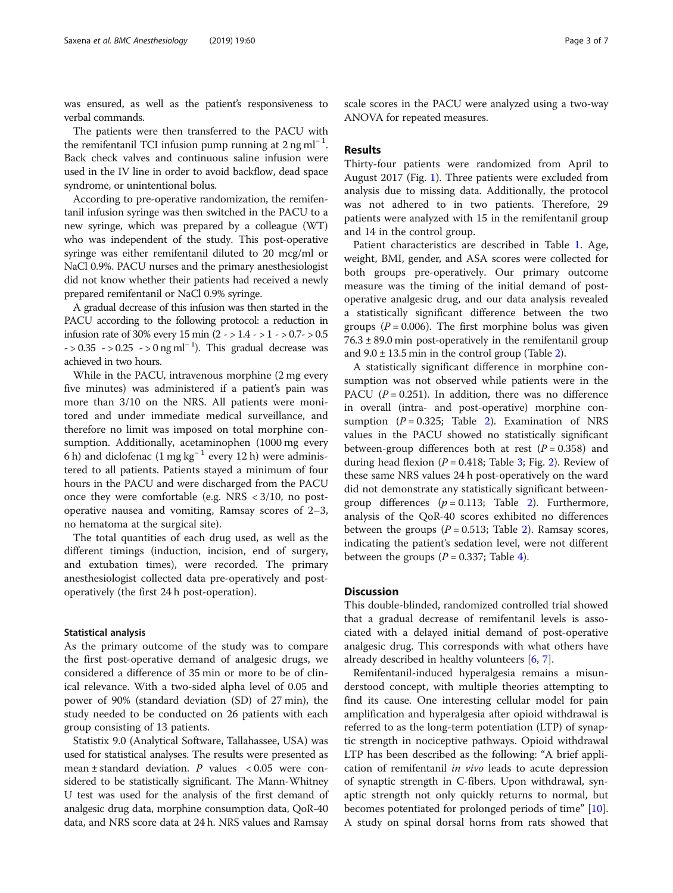was ensured, as well as the patient's responsiveness to verbal commands.

The patients were then transferred to the PACU with the remifentanil TCI infusion pump running at  $2$  ng ml<sup>-1</sup>. Back check valves and continuous saline infusion were used in the IV line in order to avoid backflow, dead space syndrome, or unintentional bolus.

According to pre-operative randomization, the remifentanil infusion syringe was then switched in the PACU to a new syringe, which was prepared by a colleague (WT) who was independent of the study. This post-operative syringe was either remifentanil diluted to 20 mcg/ml or NaCl 0.9%. PACU nurses and the primary anesthesiologist did not know whether their patients had received a newly prepared remifentanil or NaCl 0.9% syringe.

A gradual decrease of this infusion was then started in the PACU according to the following protocol: a reduction in infusion rate of 30% every 15 min (2 - > 1.4 - > 1 - > 0.7- > 0.5  $-$  > 0.35  $-$  > 0.25  $-$  > 0 ng ml<sup>-1</sup>). This gradual decrease was achieved in two hours.

While in the PACU, intravenous morphine (2 mg every five minutes) was administered if a patient's pain was more than 3/10 on the NRS. All patients were monitored and under immediate medical surveillance, and therefore no limit was imposed on total morphine consumption. Additionally, acetaminophen (1000 mg every 6 h) and diclofenac (1 mg kg<sup>-1</sup> every 12 h) were administered to all patients. Patients stayed a minimum of four hours in the PACU and were discharged from the PACU once they were comfortable (e.g. NRS < 3/10, no postoperative nausea and vomiting, Ramsay scores of 2–3, no hematoma at the surgical site).

The total quantities of each drug used, as well as the different timings (induction, incision, end of surgery, and extubation times), were recorded. The primary anesthesiologist collected data pre-operatively and postoperatively (the first 24 h post-operation).

#### Statistical analysis

As the primary outcome of the study was to compare the first post-operative demand of analgesic drugs, we considered a difference of 35 min or more to be of clinical relevance. With a two-sided alpha level of 0.05 and power of 90% (standard deviation (SD) of 27 min), the study needed to be conducted on 26 patients with each group consisting of 13 patients.

Statistix 9.0 (Analytical Software, Tallahassee, USA) was used for statistical analyses. The results were presented as mean  $\pm$  standard deviation. P values < 0.05 were considered to be statistically significant. The Mann-Whitney U test was used for the analysis of the first demand of analgesic drug data, morphine consumption data, QoR-40 data, and NRS score data at 24 h. NRS values and Ramsay scale scores in the PACU were analyzed using a two-way ANOVA for repeated measures.

# Results

Thirty-four patients were randomized from April to August 2017 (Fig. [1\)](#page-3-0). Three patients were excluded from analysis due to missing data. Additionally, the protocol was not adhered to in two patients. Therefore, 29 patients were analyzed with 15 in the remifentanil group and 14 in the control group.

Patient characteristics are described in Table [1.](#page-3-0) Age, weight, BMI, gender, and ASA scores were collected for both groups pre-operatively. Our primary outcome measure was the timing of the initial demand of postoperative analgesic drug, and our data analysis revealed a statistically significant difference between the two groups ( $P = 0.006$ ). The first morphine bolus was given  $76.3 \pm 89.0$  min post-operatively in the remifentanil group and  $9.0 \pm 13.5$  min in the control group (Table [2](#page-4-0)).

A statistically significant difference in morphine consumption was not observed while patients were in the PACU ( $P = 0.251$ ). In addition, there was no difference in overall (intra- and post-operative) morphine consumption  $(P = 0.325;$  Table [2\)](#page-4-0). Examination of NRS values in the PACU showed no statistically significant between-group differences both at rest  $(P = 0.358)$  and during head flexion ( $P = 0.418$ ; Table [3;](#page-4-0) Fig. [2](#page-5-0)). Review of these same NRS values 24 h post-operatively on the ward did not demonstrate any statistically significant betweengroup differences  $(p = 0.113;$  Table [2\)](#page-4-0). Furthermore, analysis of the QoR-40 scores exhibited no differences between the groups ( $P = 0.513$ ; Table [2](#page-4-0)). Ramsay scores, indicating the patient's sedation level, were not different between the groups  $(P = 0.337;$  Table [4](#page-5-0)).

# **Discussion**

This double-blinded, randomized controlled trial showed that a gradual decrease of remifentanil levels is associated with a delayed initial demand of post-operative analgesic drug. This corresponds with what others have already described in healthy volunteers [\[6](#page-6-0), [7](#page-6-0)].

Remifentanil-induced hyperalgesia remains a misunderstood concept, with multiple theories attempting to find its cause. One interesting cellular model for pain amplification and hyperalgesia after opioid withdrawal is referred to as the long-term potentiation (LTP) of synaptic strength in nociceptive pathways. Opioid withdrawal LTP has been described as the following: "A brief application of remifentanil in vivo leads to acute depression of synaptic strength in C-fibers. Upon withdrawal, synaptic strength not only quickly returns to normal, but becomes potentiated for prolonged periods of time" [\[10](#page-6-0)]. A study on spinal dorsal horns from rats showed that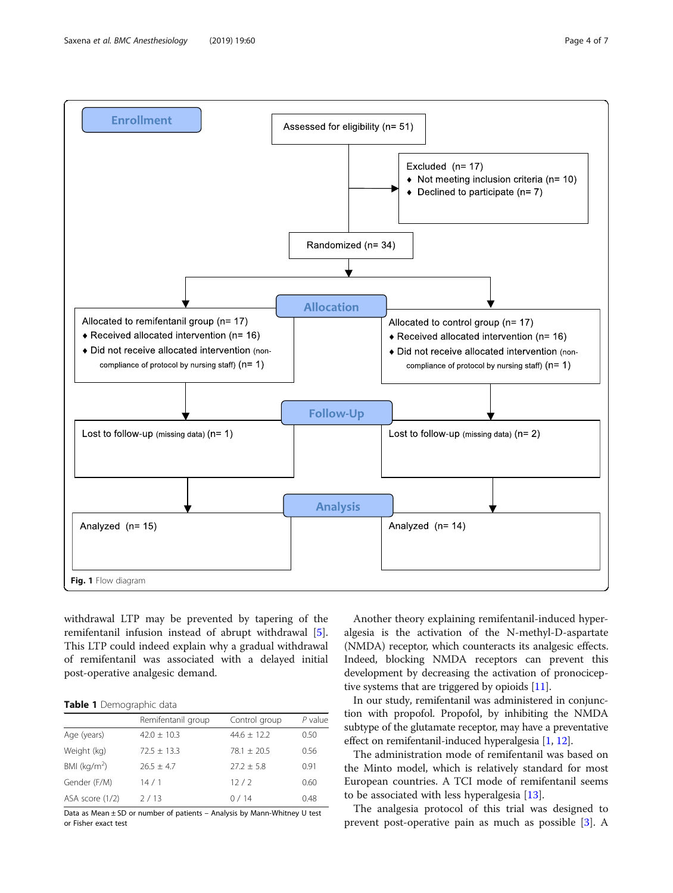<span id="page-3-0"></span>

withdrawal LTP may be prevented by tapering of the remifentanil infusion instead of abrupt withdrawal [\[5](#page-6-0)]. This LTP could indeed explain why a gradual withdrawal of remifentanil was associated with a delayed initial post-operative analgesic demand.

Table 1 Demographic data

|                 | Remifentanil group | Control group | $P$ value |
|-----------------|--------------------|---------------|-----------|
| Age (years)     | $42.0 \pm 10.3$    | $44.6 + 12.2$ | 0.50      |
| Weight (kg)     | $72.5 + 13.3$      | $78.1 + 20.5$ | 0.56      |
| BMI $(kq/m^2)$  | $26.5 + 4.7$       | $27.2 + 5.8$  | 0.91      |
| Gender (F/M)    | 14/1               | 12/2          | 0.60      |
| ASA score (1/2) | 2/13               | 0/14          | 0.48      |

Data as Mean ± SD or number of patients – Analysis by Mann-Whitney U test or Fisher exact test

Another theory explaining remifentanil-induced hyperalgesia is the activation of the N-methyl-D-aspartate (NMDA) receptor, which counteracts its analgesic effects. Indeed, blocking NMDA receptors can prevent this development by decreasing the activation of pronociceptive systems that are triggered by opioids [\[11\]](#page-6-0).

In our study, remifentanil was administered in conjunction with propofol. Propofol, by inhibiting the NMDA subtype of the glutamate receptor, may have a preventative effect on remifentanil-induced hyperalgesia [\[1,](#page-6-0) [12](#page-6-0)].

The administration mode of remifentanil was based on the Minto model, which is relatively standard for most European countries. A TCI mode of remifentanil seems to be associated with less hyperalgesia [[13\]](#page-6-0).

The analgesia protocol of this trial was designed to prevent post-operative pain as much as possible [\[3\]](#page-6-0). A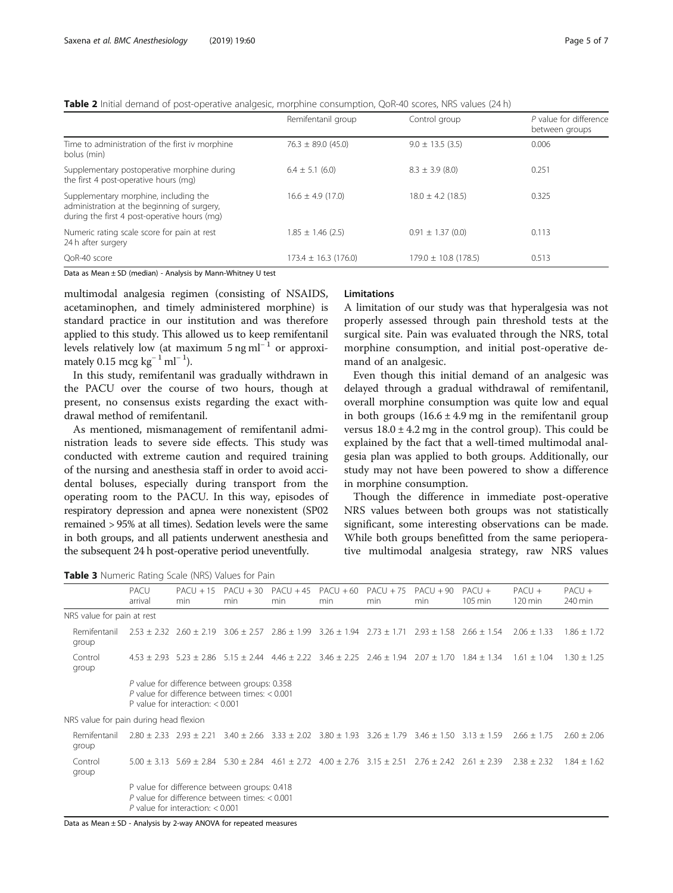<span id="page-4-0"></span>Table 2 Initial demand of post-operative analgesic, morphine consumption, QoR-40 scores, NRS values (24 h)

|                                                                                                                                      | Remifentanil group       | Control group            | P value for difference<br>between groups |
|--------------------------------------------------------------------------------------------------------------------------------------|--------------------------|--------------------------|------------------------------------------|
| Time to administration of the first iv morphine<br>bolus (min)                                                                       | $76.3 \pm 89.0 (45.0)$   | $9.0 \pm 13.5$ (3.5)     | 0.006                                    |
| Supplementary postoperative morphine during<br>the first 4 post-operative hours (mg)                                                 | $6.4 \pm 5.1$ (6.0)      | $8.3 \pm 3.9$ (8.0)      | 0.251                                    |
| Supplementary morphine, including the<br>administration at the beginning of surgery,<br>during the first 4 post-operative hours (mq) | $16.6 \pm 4.9$ (17.0)    | $18.0 \pm 4.2$ (18.5)    | 0.325                                    |
| Numeric rating scale score for pain at rest<br>24 h after surgery                                                                    | $1.85 \pm 1.46$ (2.5)    | $0.91 \pm 1.37$ (0.0)    | 0.113                                    |
| OoR-40 score                                                                                                                         | $173.4 \pm 16.3$ (176.0) | $179.0 \pm 10.8$ (178.5) | 0.513                                    |

Data as Mean ± SD (median) - Analysis by Mann-Whitney U test

multimodal analgesia regimen (consisting of NSAIDS, acetaminophen, and timely administered morphine) is standard practice in our institution and was therefore applied to this study. This allowed us to keep remifentanil levels relatively low (at maximum  $5 \text{ ng ml}^{-1}$  or approximately 0.15 mcg kg<sup>-1</sup> ml<sup>-1</sup>).

In this study, remifentanil was gradually withdrawn in the PACU over the course of two hours, though at present, no consensus exists regarding the exact withdrawal method of remifentanil.

As mentioned, mismanagement of remifentanil administration leads to severe side effects. This study was conducted with extreme caution and required training of the nursing and anesthesia staff in order to avoid accidental boluses, especially during transport from the operating room to the PACU. In this way, episodes of respiratory depression and apnea were nonexistent (SP02 remained > 95% at all times). Sedation levels were the same in both groups, and all patients underwent anesthesia and the subsequent 24 h post-operative period uneventfully.

# Limitations

A limitation of our study was that hyperalgesia was not properly assessed through pain threshold tests at the surgical site. Pain was evaluated through the NRS, total morphine consumption, and initial post-operative demand of an analgesic.

Even though this initial demand of an analgesic was delayed through a gradual withdrawal of remifentanil, overall morphine consumption was quite low and equal in both groups  $(16.6 \pm 4.9 \text{ mg}$  in the remifentanil group versus  $18.0 \pm 4.2$  mg in the control group). This could be explained by the fact that a well-timed multimodal analgesia plan was applied to both groups. Additionally, our study may not have been powered to show a difference in morphine consumption.

Though the difference in immediate post-operative NRS values between both groups was not statistically significant, some interesting observations can be made. While both groups benefitted from the same perioperative multimodal analgesia strategy, raw NRS values

Table 3 Numeric Rating Scale (NRS) Values for Pain

| <b>Table 3</b> indifferent nating beare (integrated for frame |                                                                                                                                       |                                                                                                                                       |                                                                                                                                 |                    |                    |                                                                                                 |                    |                                  |                                  |                     |
|---------------------------------------------------------------|---------------------------------------------------------------------------------------------------------------------------------------|---------------------------------------------------------------------------------------------------------------------------------------|---------------------------------------------------------------------------------------------------------------------------------|--------------------|--------------------|-------------------------------------------------------------------------------------------------|--------------------|----------------------------------|----------------------------------|---------------------|
|                                                               | PACU<br>arrival                                                                                                                       | $PACU + 15$<br>min                                                                                                                    | $PACU + 30$<br>min                                                                                                              | $PACU + 45$<br>min | $PACU + 60$<br>min | $PACU + 75$<br>min                                                                              | $PACU + 90$<br>min | $PACU +$<br>$105 \,\mathrm{min}$ | $PACU +$<br>$120 \,\mathrm{min}$ | $PACU +$<br>240 min |
| NRS value for pain at rest                                    |                                                                                                                                       |                                                                                                                                       |                                                                                                                                 |                    |                    |                                                                                                 |                    |                                  |                                  |                     |
| Remifentanil<br>group                                         |                                                                                                                                       |                                                                                                                                       | $2.53 \pm 2.32$ $2.60 \pm 2.19$ $3.06 \pm 2.57$ $2.86 \pm 1.99$ $3.26 \pm 1.94$ $2.73 \pm 1.71$                                 |                    |                    |                                                                                                 |                    | $2.93 \pm 1.58$ 2.66 $\pm$ 1.54  | $2.06 \pm 1.33$                  | $1.86 \pm 1.72$     |
| Control<br>group                                              |                                                                                                                                       |                                                                                                                                       | $4.53 \pm 2.93$ $5.23 \pm 2.86$ $5.15 \pm 2.44$ $4.46 \pm 2.22$ $3.46 \pm 2.25$ $2.46 \pm 1.94$ $2.07 \pm 1.70$ $1.84 \pm 1.34$ |                    |                    |                                                                                                 |                    |                                  | $1.61 + 1.04$                    | $1.30 \pm 1.25$     |
|                                                               |                                                                                                                                       | P value for difference between groups: 0.358<br>P value for difference between times: $< 0.001$<br>P value for interaction: $< 0.001$ |                                                                                                                                 |                    |                    |                                                                                                 |                    |                                  |                                  |                     |
| NRS value for pain during head flexion                        |                                                                                                                                       |                                                                                                                                       |                                                                                                                                 |                    |                    |                                                                                                 |                    |                                  |                                  |                     |
| Remifentanil<br>group                                         |                                                                                                                                       | $2.80 \pm 2.33$ $2.93 \pm 2.21$                                                                                                       |                                                                                                                                 |                    |                    | $3.40 \pm 2.66$ $3.33 \pm 2.02$ $3.80 \pm 1.93$ $3.26 \pm 1.79$ $3.46 \pm 1.50$ $3.13 \pm 1.59$ |                    |                                  | $2.66 \pm 1.75$                  | $2.60 \pm 2.06$     |
| Control<br>group                                              |                                                                                                                                       |                                                                                                                                       | $5.00 \pm 3.13$ $5.69 \pm 2.84$ $5.30 \pm 2.84$ $4.61 \pm 2.72$ $4.00 \pm 2.76$ $3.15 \pm 2.51$ $2.76 \pm 2.42$ $2.61 \pm 2.39$ |                    |                    |                                                                                                 |                    |                                  | $2.38 + 2.32$                    | $1.84 \pm 1.62$     |
|                                                               | P value for difference between groups: 0.418<br>P value for difference between times: $< 0.001$<br>P value for interaction: $< 0.001$ |                                                                                                                                       |                                                                                                                                 |                    |                    |                                                                                                 |                    |                                  |                                  |                     |

Data as Mean ± SD - Analysis by 2-way ANOVA for repeated measures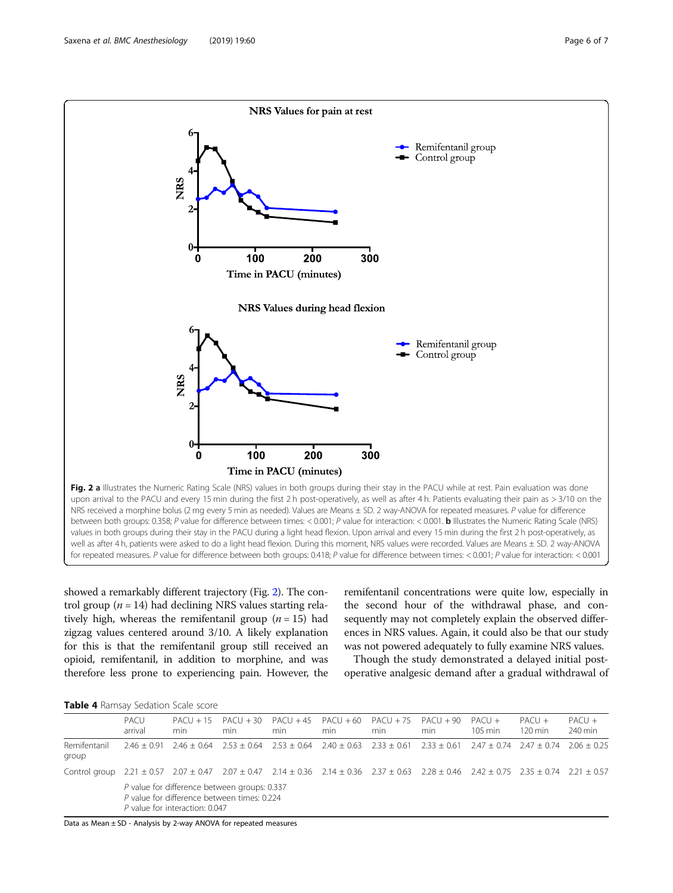<span id="page-5-0"></span>

showed a remarkably different trajectory (Fig. 2). The control group ( $n = 14$ ) had declining NRS values starting relatively high, whereas the remifentanil group  $(n = 15)$  had zigzag values centered around 3/10. A likely explanation for this is that the remifentanil group still received an opioid, remifentanil, in addition to morphine, and was therefore less prone to experiencing pain. However, the

remifentanil concentrations were quite low, especially in the second hour of the withdrawal phase, and consequently may not completely explain the observed differences in NRS values. Again, it could also be that our study was not powered adequately to fully examine NRS values.

Though the study demonstrated a delayed initial postoperative analgesic demand after a gradual withdrawal of

| Table 4 Ramsay Sedation Scale score |  |
|-------------------------------------|--|
|-------------------------------------|--|

|                                                                                                                                                                               | PACU<br>arrival | min.                                                                                                                          | min | $PACU + 15$ $PACU + 30$ $PACU + 45$ $PACU + 60$<br>min                                                          | min | $PACU + 75$ $PACU + 90$<br>min | min | $PACU +$<br>$105 \text{ min}$ | $PACU +$<br>$120 \,\mathrm{min}$ | $PACU +$<br>240 min |
|-------------------------------------------------------------------------------------------------------------------------------------------------------------------------------|-----------------|-------------------------------------------------------------------------------------------------------------------------------|-----|-----------------------------------------------------------------------------------------------------------------|-----|--------------------------------|-----|-------------------------------|----------------------------------|---------------------|
| Remifentanil<br>group                                                                                                                                                         | 246 + 0.91      |                                                                                                                               |     | $2.46 + 0.64$ $2.53 + 0.64$ $2.53 + 0.64$ $2.40 + 0.63$ $2.33 + 0.61$ $2.33 + 0.61$ $2.47 + 0.74$ $2.47 + 0.74$ |     |                                |     |                               |                                  | $2.06 + 0.25$       |
| Control group 2.21 $\pm$ 0.57 2.07 $\pm$ 0.47 2.07 $\pm$ 0.47 2.14 $\pm$ 0.36 2.14 $\pm$ 0.36 2.37 $\pm$ 0.63 2.28 $\pm$ 0.46 2.42 $\pm$ 0.75 2.35 $\pm$ 0.74 2.21 $\pm$ 0.57 |                 | P value for difference between groups: 0.337<br>P value for difference between times: 0.224<br>P value for interaction: 0.047 |     |                                                                                                                 |     |                                |     |                               |                                  |                     |

Data as Mean ± SD - Analysis by 2-way ANOVA for repeated measures